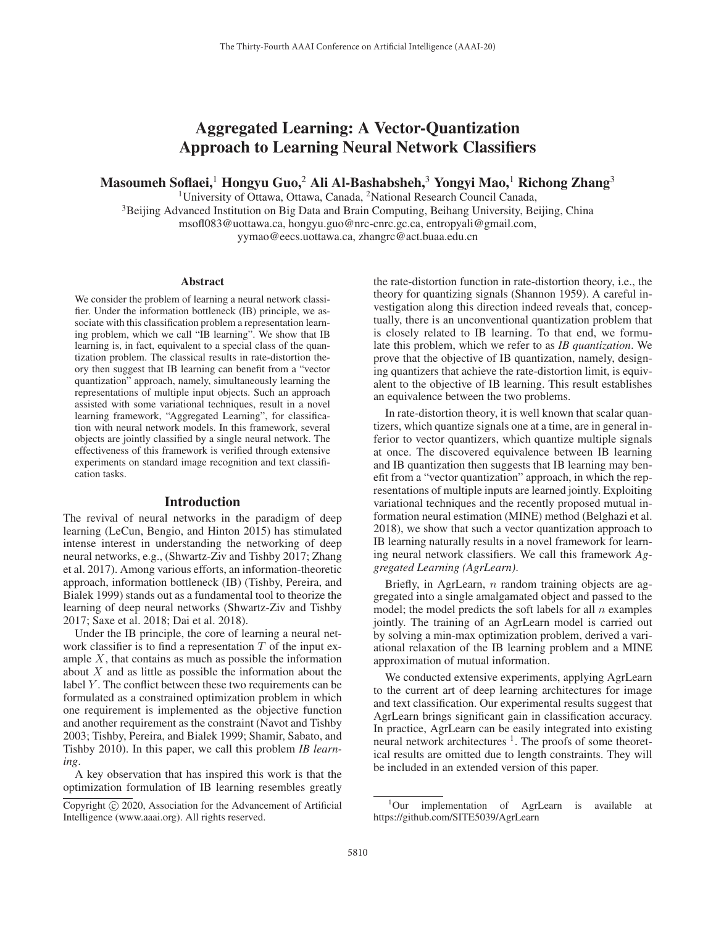# Aggregated Learning: A Vector-Quantization Approach to Learning Neural Network Classifiers

Masoumeh Soflaei,<sup>1</sup> Hongyu Guo,<sup>2</sup> Ali Al-Bashabsheh,<sup>3</sup> Yongyi Mao,<sup>1</sup> Richong Zhang<sup>3</sup>

<sup>1</sup>University of Ottawa, Ottawa, Canada, <sup>2</sup>National Research Council Canada,

<sup>3</sup>Beijing Advanced Institution on Big Data and Brain Computing, Beihang University, Beijing, China msofl083@uottawa.ca, hongyu.guo@nrc-cnrc.gc.ca, entropyali@gmail.com, yymao@eecs.uottawa.ca, zhangrc@act.buaa.edu.cn

#### Abstract

We consider the problem of learning a neural network classifier. Under the information bottleneck (IB) principle, we associate with this classification problem a representation learning problem, which we call "IB learning". We show that IB learning is, in fact, equivalent to a special class of the quantization problem. The classical results in rate-distortion theory then suggest that IB learning can benefit from a "vector quantization" approach, namely, simultaneously learning the representations of multiple input objects. Such an approach assisted with some variational techniques, result in a novel learning framework, "Aggregated Learning", for classification with neural network models. In this framework, several objects are jointly classified by a single neural network. The effectiveness of this framework is verified through extensive experiments on standard image recognition and text classification tasks.

## Introduction

The revival of neural networks in the paradigm of deep learning (LeCun, Bengio, and Hinton 2015) has stimulated intense interest in understanding the networking of deep neural networks, e.g., (Shwartz-Ziv and Tishby 2017; Zhang et al. 2017). Among various efforts, an information-theoretic approach, information bottleneck (IB) (Tishby, Pereira, and Bialek 1999) stands out as a fundamental tool to theorize the learning of deep neural networks (Shwartz-Ziv and Tishby 2017; Saxe et al. 2018; Dai et al. 2018).

Under the IB principle, the core of learning a neural network classifier is to find a representation  $T$  of the input example  $X$ , that contains as much as possible the information about  $X$  and as little as possible the information about the label  $Y$ . The conflict between these two requirements can be formulated as a constrained optimization problem in which one requirement is implemented as the objective function and another requirement as the constraint (Navot and Tishby 2003; Tishby, Pereira, and Bialek 1999; Shamir, Sabato, and Tishby 2010). In this paper, we call this problem *IB learning*.

A key observation that has inspired this work is that the optimization formulation of IB learning resembles greatly

the rate-distortion function in rate-distortion theory, i.e., the theory for quantizing signals (Shannon 1959). A careful investigation along this direction indeed reveals that, conceptually, there is an unconventional quantization problem that is closely related to IB learning. To that end, we formulate this problem, which we refer to as *IB quantization*. We prove that the objective of IB quantization, namely, designing quantizers that achieve the rate-distortion limit, is equivalent to the objective of IB learning. This result establishes an equivalence between the two problems.

In rate-distortion theory, it is well known that scalar quantizers, which quantize signals one at a time, are in general inferior to vector quantizers, which quantize multiple signals at once. The discovered equivalence between IB learning and IB quantization then suggests that IB learning may benefit from a "vector quantization" approach, in which the representations of multiple inputs are learned jointly. Exploiting variational techniques and the recently proposed mutual information neural estimation (MINE) method (Belghazi et al. 2018), we show that such a vector quantization approach to IB learning naturally results in a novel framework for learning neural network classifiers. We call this framework *Aggregated Learning (AgrLearn)*.

Briefly, in AgrLearn, *n* random training objects are aggregated into a single amalgamated object and passed to the model; the model predicts the soft labels for all  $n$  examples jointly. The training of an AgrLearn model is carried out by solving a min-max optimization problem, derived a variational relaxation of the IB learning problem and a MINE approximation of mutual information.

We conducted extensive experiments, applying AgrLearn to the current art of deep learning architectures for image and text classification. Our experimental results suggest that AgrLearn brings significant gain in classification accuracy. In practice, AgrLearn can be easily integrated into existing neural network architectures <sup>1</sup>. The proofs of some theoretical results are omitted due to length constraints. They will be included in an extended version of this paper.

Copyright  $\odot$  2020, Association for the Advancement of Artificial Intelligence (www.aaai.org). All rights reserved.

<sup>1</sup> Our implementation of AgrLearn is available at https://github.com/SITE5039/AgrLearn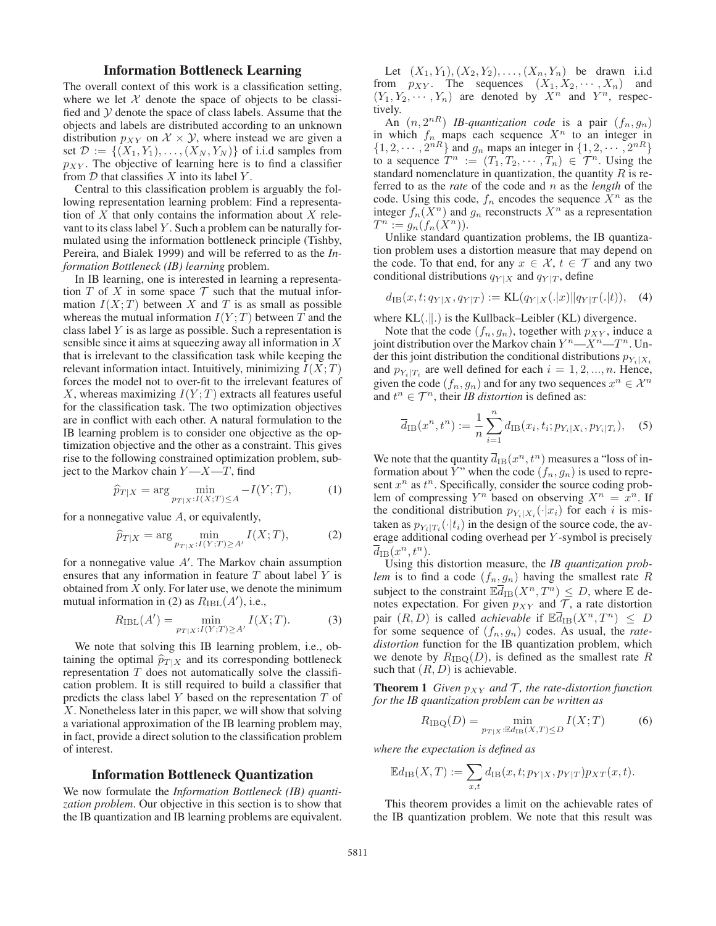# Information Bottleneck Learning

The overall context of this work is a classification setting, where we let  $X$  denote the space of objects to be classified and  $\mathcal Y$  denote the space of class labels. Assume that the objects and labels are distributed according to an unknown distribution  $p_{XY}$  on  $\mathcal{X} \times \mathcal{Y}$ , where instead we are given a set  $\mathcal{D} := \{(X_1, Y_1), \ldots, (X_N, Y_N)\}\$  of i.i.d samples from  $p_{XY}$ . The objective of learning here is to find a classifier from  $D$  that classifies  $X$  into its label  $Y$ .

Central to this classification problem is arguably the following representation learning problem: Find a representation of  $X$  that only contains the information about  $X$  relevant to its class label Y . Such a problem can be naturally formulated using the information bottleneck principle (Tishby, Pereira, and Bialek 1999) and will be referred to as the *Information Bottleneck (IB) learning* problem.

In IB learning, one is interested in learning a representation T of X in some space  $\mathcal T$  such that the mutual information  $I(X;T)$  between X and T is as small as possible whereas the mutual information  $I(Y;T)$  between T and the class label Y is as large as possible. Such a representation is sensible since it aims at squeezing away all information in  $X$ that is irrelevant to the classification task while keeping the relevant information intact. Intuitively, minimizing  $I(X;T)$ forces the model not to over-fit to the irrelevant features of X, whereas maximizing  $I(Y;T)$  extracts all features useful for the classification task. The two optimization objectives are in conflict with each other. A natural formulation to the IB learning problem is to consider one objective as the optimization objective and the other as a constraint. This gives rise to the following constrained optimization problem, subject to the Markov chain  $Y - X - T$ , find

$$
\widehat{p}_{T|X} = \arg\min_{p_{T|X}:I(X;T)\leq A} - I(Y;T),\tag{1}
$$

for a nonnegative value A, or equivalently,

$$
\widehat{p}_{T|X} = \arg\min_{p_{T|X}: I(Y;T)\ge A'} I(X;T),\tag{2}
$$

for a nonnegative value A . The Markov chain assumption ensures that any information in feature  $T$  about label  $Y$  is obtained from  $X$  only. For later use, we denote the minimum mutual information in (2) as  $R_{\text{IBL}}(A')$ , i.e.,

$$
R_{\text{IBL}}(A') = \min_{p_{T|X}: I(Y;T) \ge A'} I(X;T). \tag{3}
$$

We note that solving this IB learning problem, i.e., obtaining the optimal  $\hat{p}_{T|X}$  and its corresponding bottleneck<br>representation  $T$  does not extendingly solve the eleccify representation  $T$  does not automatically solve the classification problem. It is still required to build a classifier that predicts the class label Y based on the representation T of X. Nonetheless later in this paper, we will show that solving a variational approximation of the IB learning problem may, in fact, provide a direct solution to the classification problem of interest.

## Information Bottleneck Quantization

We now formulate the *Information Bottleneck (IB) quantization problem*. Our objective in this section is to show that the IB quantization and IB learning problems are equivalent.

Let  $(X_1, Y_1), (X_2, Y_2), \ldots, (X_n, Y_n)$  be drawn i.i.d from  $p_{XY}$ . The sequences  $(X_1, X_2, \dots, X_n)$  and  $(Y_1, Y_2, \dots, Y_n)$  are denoted by  $X^n$  and  $Y^n$ , respectively.

An  $(n, 2^{nR})$  *IB-quantization code* is a pair  $(f_n, g_n)$ in which  $f_n$  maps each sequence  $X^n$  to an integer in  $\{1, 2, \cdots, 2^{nR}\}\$  and  $g_n$  maps an integer in  $\{1, 2, \cdots, 2^{nR}\}\$ to a sequence  $T^n := (T_1, T_2, \cdots, T_n) \in \mathcal{T}^n$ . Using the standard nomenclature in quantization, the quantity  $R$  is referred to as the *rate* of the code and n as the *length* of the code. Using this code,  $f_n$  encodes the sequence  $X^n$  as the integer  $f_n(X^n)$  and  $g_n$  reconstructs  $X^n$  as a representation  $T^n := g_n(f_n(X^n)).$ 

Unlike standard quantization problems, the IB quantization problem uses a distortion measure that may depend on the code. To that end, for any  $x \in \mathcal{X}$ ,  $t \in \mathcal{T}$  and any two conditional distributions  $q_{Y|X}$  and  $q_{Y|T}$ , define

$$
d_{\text{IB}}(x, t; q_{Y|X}, q_{Y|T}) := \text{KL}(q_{Y|X}(.|x) || q_{Y|T}(.|t)), \quad (4)
$$

where  $KL(.||.)$  is the Kullback–Leibler (KL) divergence.

Note that the code  $(f_n, g_n)$ , together with  $p_{XY}$ , induce a joint distribution over the Markov chain  $Y^n = X^n - T^n$ . Under this joint distribution the conditional distributions  $p_{Y_i|X_i}$ and  $p_{Y_i|T_i}$  are well defined for each  $i = 1, 2, ..., n$ . Hence, given the code  $(f_n, g_n)$  and for any two sequences  $x^n \in \mathcal{X}^n$ and  $t^n \in \mathcal{T}^n$ , their *IB distortion* is defined as:

$$
\overline{d}_{\text{IB}}(x^n, t^n) := \frac{1}{n} \sum_{i=1}^n d_{\text{IB}}(x_i, t_i; p_{Y_i|X_i}, p_{Y_i|T_i}), \quad (5)
$$

We note that the quantity  $\overline{d}_{IB}(x^n, t^n)$  measures a "loss of information about Y" when the code  $(f_n, g_n)$  is used to represent  $x^n$  as  $t^n$ . Specifically, consider the source coding problem of compressing  $Y^n$  based on observing  $X^n = x^n$ . If the conditional distribution  $p_{Y_i|X_i}(\cdot|x_i)$  for each i is mistaken as  $p_{Y_i|T_i}(\cdot|t_i)$  in the design of the source code, the average additional coding overhead per Y -symbol is precisely  $\overline{d}_{\text{IB}}(x^n, t^n)$ .

Using this distortion measure, the *IB quantization problem* is to find a code  $(f_n, g_n)$  having the smallest rate R subject to the constraint  $\mathbb{E}\overline{d}_{\text{IB}}(X^n, T^n) \leq D$ , where  $\mathbb E$  denotes expectation. For given  $p_{XY}$  and  $\mathcal T$ , a rate distortion pair  $(R, D)$  is called *achievable* if  $\mathbb{E} \overline{d}_{IB}(X^n, T^n) \leq D$ for some sequence of  $(f_n, g_n)$  codes. As usual, the *ratedistortion* function for the IB quantization problem, which we denote by  $R_{\text{IBO}}(D)$ , is defined as the smallest rate R such that  $(R, D)$  is achievable.

**Theorem 1** *Given*  $p_{XY}$  *and*  $T$ *, the rate-distortion function for the IB quantization problem can be written as*

$$
R_{\rm IBQ}(D) = \min_{p_{T|X} : \mathbb{E}d_{\rm IB}(X,T) \le D} I(X;T)
$$
 (6)

*where the expectation is defined as*

$$
\mathbb{E}d_{\text{IB}}(X,T) := \sum_{x,t} d_{\text{IB}}(x,t;p_{Y|X},p_{Y|T}) p_{XT}(x,t).
$$

This theorem provides a limit on the achievable rates of the IB quantization problem. We note that this result was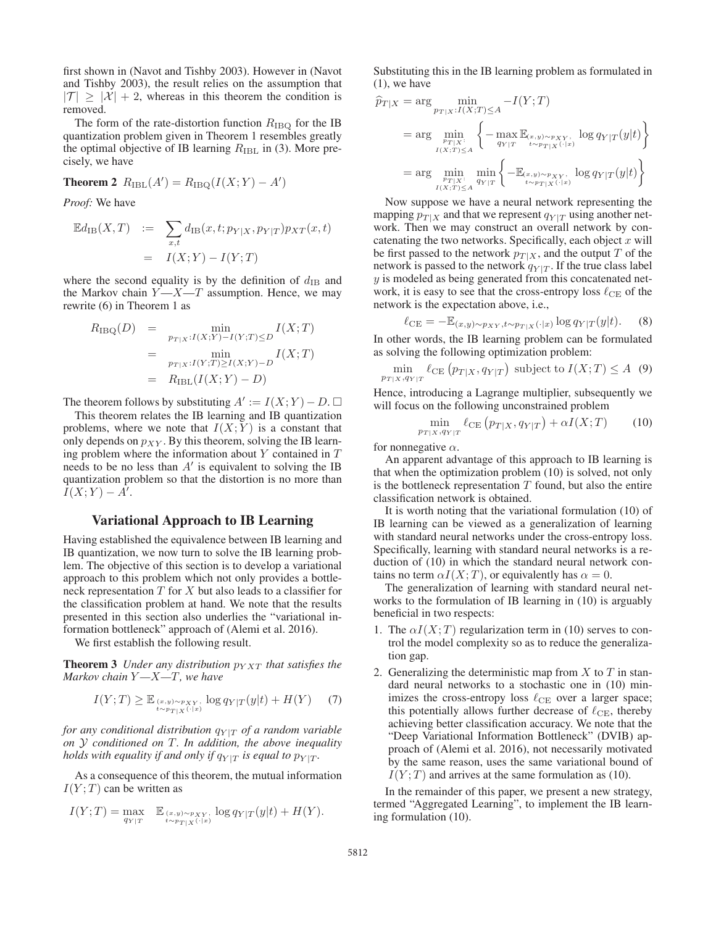first shown in (Navot and Tishby 2003). However in (Navot and Tishby 2003), the result relies on the assumption that  $|\mathcal{T}| \geq |\mathcal{X}| + 2$ , whereas in this theorem the condition is removed.

The form of the rate-distortion function  $R_{IBQ}$  for the IB quantization problem given in Theorem 1 resembles greatly the optimal objective of IB learning  $R_{\rm IBL}$  in (3). More precisely, we have

**Theorem 2** 
$$
R_{\text{IBL}}(A') = R_{\text{IBQ}}(I(X;Y) - A')
$$

*Proof:* We have

$$
\mathbb{E}d_{\text{IB}}(X,T) := \sum_{x,t} d_{\text{IB}}(x,t; p_{Y|X}, p_{Y|T}) p_{XT}(x,t)
$$

$$
= I(X;Y) - I(Y;T)
$$

where the second equality is by the definition of  $d_{\text{IB}}$  and the Markov chain  $Y - X - T$  assumption. Hence, we may rewrite (6) in Theorem 1 as

$$
R_{\text{IBQ}}(D) = \min_{p_{T|X}: I(X;Y) - I(Y;T) \le D} I(X;T)
$$
  
= 
$$
\min_{p_{T|X}: I(Y;T) \ge I(X;Y) - D} I(X;T)
$$
  
= 
$$
R_{\text{IBL}}(I(X;Y) - D)
$$

The theorem follows by substituting  $A' := I(X; Y) - D$ .  $\Box$ <br>This theorem relates the IB learning and IB quantization

This theorem relates the IB learning and IB quantization problems, where we note that  $I(X; Y)$  is a constant that only depends on  $p_{XY}$ . By this theorem, solving the IB learning problem where the information about  $Y$  contained in  $T$ needs to be no less than  $A'$  is equivalent to solving the IB quantization problem so that the distortion is no more than  $I(X;Y) - A'$ .

## Variational Approach to IB Learning

Having established the equivalence between IB learning and IB quantization, we now turn to solve the IB learning problem. The objective of this section is to develop a variational approach to this problem which not only provides a bottleneck representation  $T$  for  $X$  but also leads to a classifier for the classification problem at hand. We note that the results presented in this section also underlies the "variational information bottleneck" approach of (Alemi et al. 2016).

We first establish the following result.

**Theorem 3** *Under any distribution*  $p_{YXT}$  *that satisfies the Markov chain* Y *—*X*—*T*, we have*

$$
I(Y;T) \geq \mathbb{E}_{(x,y)\sim p_{XY}, \atop t\sim p_{T|X}(\cdot|x)} \log q_{Y|T}(y|t) + H(Y) \quad (7)
$$

*for any conditional distribution*  $q_{Y|T}$  *of a random variable on* Y *conditioned on* T*. In addition, the above inequality holds with equality if and only if*  $q_{Y|T}$  *is equal to*  $p_{Y|T}$ *.* 

As a consequence of this theorem, the mutual information  $I(Y;T)$  can be written as

$$
I(Y;T) = \max_{q_{Y|T}} \mathbb{E}_{\substack{(x,y) \sim p_{XY}, \\ t \sim p_{T|X}(\cdot|x)}} \log q_{Y|T}(y|t) + H(Y).
$$

Substituting this in the IB learning problem as formulated in (1), we have

$$
\hat{p}_{T|X} = \arg \min_{p_{T|X}: I(X;T) \le A} -I(Y;T)
$$
\n
$$
= \arg \min_{\substack{p_{T|X}: \atop I(X;T) \le A}} \left\{ -\max_{q_{Y|T}} \mathbb{E}_{(x,y) \sim p_{XY}, \atop t \sim p_{T|X}(\cdot|x)} \log q_{Y|T}(y|t) \right\}
$$
\n
$$
= \arg \min_{\substack{p_{T|X}: \atop P_{T|X}(\cdot|x) \sim p_{Y|X}(\cdot|x) \\ I(X;T) \le A}} \left\{ -\mathbb{E}_{(x,y) \sim p_{XY}, \atop t \sim p_{T|X}(\cdot|x) \sim p_{Y|X}(\cdot|x)} \log q_{Y|T}(y|t) \right\}
$$

Now suppose we have a neural network representing the mapping  $p_{T|X}$  and that we represent  $q_{Y|T}$  using another network. Then we may construct an overall network by concatenating the two networks. Specifically, each object  $x$  will be first passed to the network  $p_{T|X}$ , and the output T of the network is passed to the network  $q_{Y|T}$ . If the true class label  $y$  is modeled as being generated from this concatenated network, it is easy to see that the cross-entropy loss  $\ell_{\text{CE}}$  of the network is the expectation above, i.e.,

$$
\ell_{\text{CE}} = -\mathbb{E}_{(x,y)\sim p_{XY}, t\sim p_{T|X}(\cdot|x)} \log q_{Y|T}(y|t). \tag{8}
$$

 $\ell_{\text{CE}} = -\mathbb{E}_{(x,y)\sim p_{XY}, t\sim p_{T|X}(\cdot|x)} \log q_{Y|T}(y|t).$  (8)<br>In other words, the IB learning problem can be formulated as solving the following optimization problem:

$$
\min_{p_{T|X}, q_{Y|T}} \ell_{\text{CE}}\left(p_{T|X}, q_{Y|T}\right) \text{ subject to } I(X;T) \le A \tag{9}
$$

Hence, introducing a Lagrange multiplier, subsequently we will focus on the following unconstrained problem

$$
\min_{p_{T|X}, q_{Y|T}} \ell_{\text{CE}}\left(p_{T|X}, q_{Y|T}\right) + \alpha I(X;T) \tag{10}
$$

for nonnegative  $\alpha$ .

An apparent advantage of this approach to IB learning is that when the optimization problem (10) is solved, not only is the bottleneck representation  $T$  found, but also the entire classification network is obtained.

It is worth noting that the variational formulation (10) of IB learning can be viewed as a generalization of learning with standard neural networks under the cross-entropy loss. Specifically, learning with standard neural networks is a reduction of (10) in which the standard neural network contains no term  $\alpha I(X;T)$ , or equivalently has  $\alpha = 0$ .

The generalization of learning with standard neural networks to the formulation of IB learning in (10) is arguably beneficial in two respects:

- 1. The  $\alpha I(X;T)$  regularization term in (10) serves to control the model complexity so as to reduce the generalization gap.
- 2. Generalizing the deterministic map from X to T in standard neural networks to a stochastic one in (10) minimizes the cross-entropy loss  $\ell_{\text{CE}}$  over a larger space; this potentially allows further decrease of  $\ell_{\text{CE}}$ , thereby achieving better classification accuracy. We note that the "Deep Variational Information Bottleneck" (DVIB) approach of (Alemi et al. 2016), not necessarily motivated by the same reason, uses the same variational bound of  $I(Y;T)$  and arrives at the same formulation as (10).

In the remainder of this paper, we present a new strategy, termed "Aggregated Learning", to implement the IB learning formulation (10).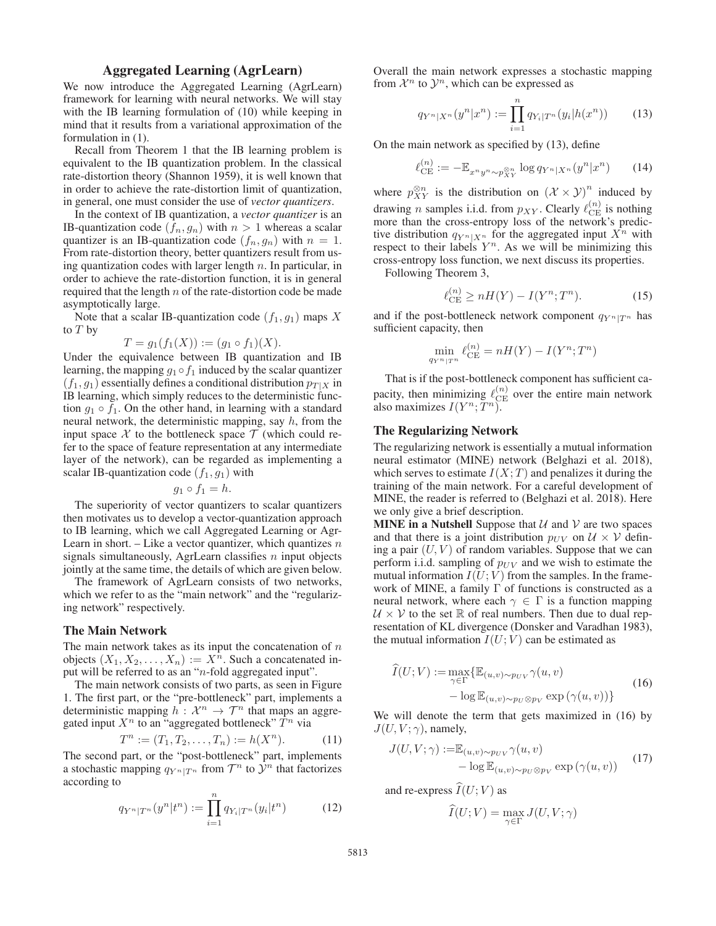# Aggregated Learning (AgrLearn)

We now introduce the Aggregated Learning (AgrLearn) framework for learning with neural networks. We will stay with the IB learning formulation of (10) while keeping in mind that it results from a variational approximation of the formulation in (1).

Recall from Theorem 1 that the IB learning problem is equivalent to the IB quantization problem. In the classical rate-distortion theory (Shannon 1959), it is well known that in order to achieve the rate-distortion limit of quantization, in general, one must consider the use of *vector quantizers*.

In the context of IB quantization, a *vector quantizer* is an IB-quantization code  $(f_n, g_n)$  with  $n > 1$  whereas a scalar quantizer is an IB-quantization code  $(f_n, g_n)$  with  $n = 1$ quantizer is an IB-quantization code  $(f_n, g_n)$  with  $n = 1$ .<br>From rate-distortion theory better quantizers result from us-From rate-distortion theory, better quantizers result from using quantization codes with larger length  $n$ . In particular, in order to achieve the rate-distortion function, it is in general required that the length  $n$  of the rate-distortion code be made asymptotically large.

Note that a scalar IB-quantization code  $(f_1, g_1)$  maps X to  $T$  by

$$
T = g_1(f_1(X)) := (g_1 \circ f_1)(X).
$$

 $T = g_1(f_1(X)) := (g_1 \circ f_1)(X)$ .<br>Under the equivalence between IB quantization and IB learning, the mapping  $g_1 \circ f_1$  induced by the scalar quantizer  $(f_1, g_1)$  essentially defines a conditional distribution  $p_{T|X}$  in IB learning, which simply reduces to the deterministic function  $g_1 \circ f_1$ . On the other hand, in learning with a standard neural network, the deterministic mapping, say  $h$ , from the input space X to the bottleneck space  $\mathcal T$  (which could refer to the space of feature representation at any intermediate layer of the network), can be regarded as implementing a scalar IB-quantization code  $(f_1, g_1)$  with

$$
g_1 \circ f_1 = h
$$

 $g_1 \circ f_1 = h.$ <br>The superiority of vector quantizers to scalar quantizers then motivates us to develop a vector-quantization approach to IB learning, which we call Aggregated Learning or Agr-Learn in short. – Like a vector quantizer, which quantizes  $n$ signals simultaneously, AgrLearn classifies  $n$  input objects jointly at the same time, the details of which are given below.

The framework of AgrLearn consists of two networks, which we refer to as the "main network" and the "regularizing network" respectively.

#### The Main Network

The main network takes as its input the concatenation of  $n$ objects  $(X_1, X_2, \ldots, X_n) := X^n$ . Such a concatenated input will be referred to as an "n-fold aggregated input".

The main network consists of two parts, as seen in Figure 1. The first part, or the "pre-bottleneck" part, implements a deterministic mapping  $h : \mathcal{X}^n \to \mathcal{T}^n$  that maps an aggregated input  $X^n$  to an "aggregated bottleneck"  $T^n$  via

$$
T^n := (T_1, T_2, \dots, T_n) := h(X^n).
$$
\nThe second part, or the "post-bottleneck" part, implements

a stochastic mapping  $q_{Y^n|T^n}$  from  $T^n$  to  $\mathcal{Y}^n$  that factorizes according to

$$
q_{Y^n|T^n}(y^n|t^n) := \prod_{i=1}^n q_{Y_i|T^n}(y_i|t^n)
$$
 (12)

Overall the main network expresses a stochastic mapping from  $\mathcal{X}^n$  to  $\mathcal{Y}^n$ , which can be expressed as

$$
q_{Y^n|X^n}(y^n|x^n) := \prod_{i=1}^n q_{Y_i|T^n}(y_i|h(x^n)) \qquad (13)
$$

On the main network as specified by (13), define

$$
\ell_{\mathrm{CE}}^{(n)} := -\mathbb{E}_{x^n y^n \sim p_{XY}^{\otimes n}} \log q_{Y^n | X^n}(y^n | x^n) \qquad (14)
$$

where  $p_{XY}^{\otimes n}$  is the distribution on  $(\mathcal{X} \times \mathcal{Y})^n$  induced by drawing *n* samples i.i.d. from  $p_{XY}$ . Clearly  $\ell_{CE}^{(n)}$  is nothing more than the cross-entropy loss of the network's predictive distribution  $q_{Y^n|X^n}$  for the aggregated input  $X^n$  with respect to their labels  $Y<sup>n</sup>$ . As we will be minimizing this cross-entropy loss function, we next discuss its properties.

Following Theorem 3,

$$
\ell_{\text{CE}}^{(n)} \ge nH(Y) - I(Y^n; T^n). \tag{15}
$$

and if the post-bottleneck network component  $q_{Y^n|T^n}$  has sufficient capacity, then

$$
\min_{q_{Y^n|T^n}} \ell_{\mathrm{CE}}^{(n)} = nH(Y) - I(Y^n;T^n)
$$

That is if the post-bottleneck component has sufficient capacity, then minimizing  $\ell_{\text{CE}}^{(n)}$  over the entire main network also maximizes  $I(Y^n; \tilde{T}^n)$ .

## The Regularizing Network

The regularizing network is essentially a mutual information neural estimator (MINE) network (Belghazi et al. 2018), which serves to estimate  $I(X;T)$  and penalizes it during the training of the main network. For a careful development of MINE, the reader is referred to (Belghazi et al. 2018). Here we only give a brief description.

**MINE in a Nutshell** Suppose that  $U$  and  $V$  are two spaces and that there is a joint distribution  $p_{UV}$  on  $\mathcal{U} \times \mathcal{V}$  defining a pair  $(U, V)$  of random variables. Suppose that we can perform i.i.d. sampling of  $p_{UV}$  and we wish to estimate the mutual information  $I(U;V)$  from the samples. In the framework of MINE, a family  $\Gamma$  of functions is constructed as a neural network, where each  $\gamma \in \Gamma$  is a function mapping  $U \times V$  to the set R of real numbers. Then due to dual representation of KL divergence (Donsker and Varadhan 1983), the mutual information  $I(U; V)$  can be estimated as

$$
\widehat{I}(U;V) := \max_{\gamma \in \Gamma} \{ \mathbb{E}_{(u,v) \sim p_U \otimes p_V} \gamma(u,v) - \log \mathbb{E}_{(u,v) \sim p_U \otimes p_V} \exp (\gamma(u,v)) \}
$$
\n(16)

We will denote the term that gets maximized in (16) by  $J(U, V; \gamma)$ , namely,

$$
J(U, V; \gamma) := \mathbb{E}_{(u,v) \sim p_{UV}} \gamma(u, v)
$$
  
-  $\log \mathbb{E}_{(u,v) \sim p_{U} \otimes p_{V}} \exp (\gamma(u, v))$  (17)

and re-express  $I(U;V)$  as

$$
\widehat{I}(U;V) = \max_{\gamma \in \Gamma} J(U,V;\gamma)
$$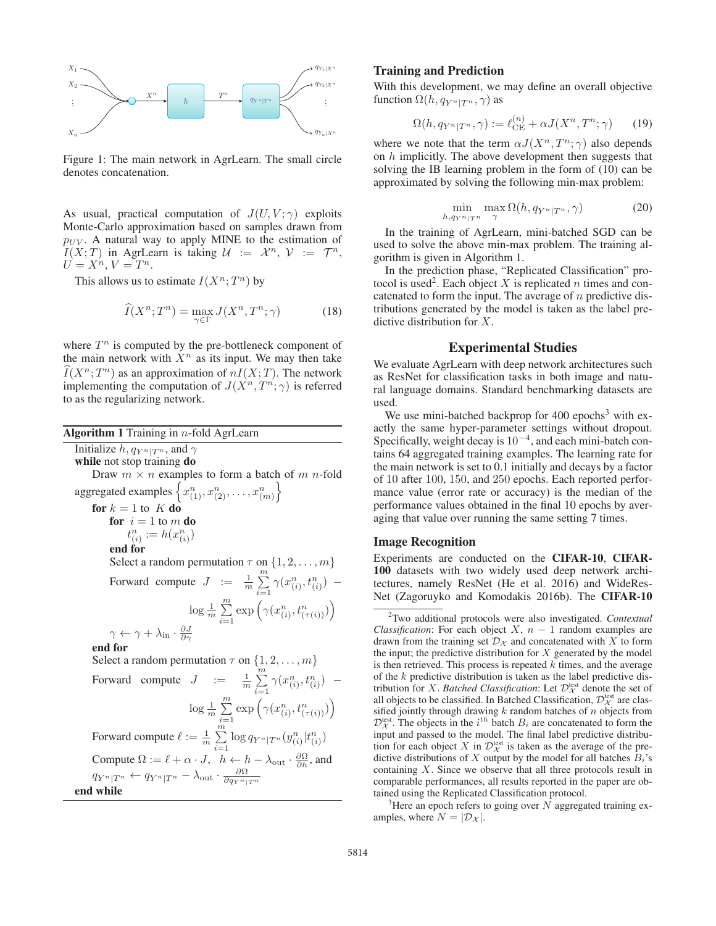

Figure 1: The main network in AgrLearn. The small circle denotes concatenation.

As usual, practical computation of  $J(U, V; \gamma)$  exploits Monte-Carlo approximation based on samples drawn from  $p_{UV}$ . A natural way to apply MINE to the estimation of  $I(X;T)$  in AgrLearn is taking  $\mathcal{U} := \mathcal{X}^n$ ,  $\mathcal{V} := \mathcal{T}^n$ ,  $U = X^n, V = T^n$ .

This allows us to estimate  $I(X^n;T^n)$  by

$$
\widehat{I}(X^n;T^n) = \max_{\gamma \in \Gamma} J(X^n,T^n;\gamma)
$$
\n(18)

where  $T^n$  is computed by the pre-bottleneck component of the main network with  $X<sup>n</sup>$  as its input. We may then take  $\widehat{I}(X^n;T^n)$  as an approximation of  $nI(X;T)$ . The network<br>implementing the computation of  $I(X^n, T^n \cdot \gamma)$  is referred implementing the computation of  $J(X^n, T^n; \gamma)$  is referred to as the regularizing network.

Algorithm 1 Training in  $n$ -fold AgrLearn Initialize  $h, q_{Y^n|T^n}$ , and  $\gamma$ while not stop training do Draw  $m \times n$  examples to form a batch of  $m$  n-fold aggregated examples  $\left\{ x_{(1)}^n, x_{(2)}^n, \ldots, x_{(m)}^n \right\}$  $\overline{1}$ for  $k = 1$  to  $K$  do for  $i = 1$  to m do  $t_{(i)}^n := h(x_{(i)}^n)$ end for Select a random permutation  $\tau$  on  $\{1, 2, ..., m\}$ Forward compute  $J := \frac{1}{m} \sum_{i=1}^{m}$  $\sum_{i=1}^m \gamma(x_{(i)}^n, t_{(i)}^n) \log \frac{1}{m} \sum_{i=1}^{m}$  $\sum_{i=1}^m \exp\left(\gamma(x_{(i)}^n, t_{(\tau(i))}^n)\right)$  $\overline{ }$  $\gamma \leftarrow \gamma + \lambda_{\text{in}} \cdot \frac{\partial J}{\partial \gamma}$ end for Select a random permutation  $\tau$  on  $\{1, 2, \ldots, m\}$ Forward compute  $J := \frac{1}{m} \sum_{i=1}^{m}$  $\sum_{i=1}^{m} \gamma(x_{(i)}^n, t_{(i)}^n)$  –  $\log \frac{1}{m} \sum_{i=1}^{m}$  $\sum_{i=1}^m \exp\left(\gamma(x_{(i)}^n, t_{(\tau(i))}^n)\right)$  $\overline{ }$ Forward compute  $\ell := \frac{1}{m} \sum_{i=1}^{m}$  $\sum_{i=1}^{m} \log q_{Y^{n}|T^{n}}(y_{(i)}^{n}|t_{(i)}^{n})$ Compute  $\Omega := \ell + \alpha \cdot J$ ,  $h \leftarrow h - \lambda_{\text{out}} \cdot \frac{\partial \Omega}{\partial h}$ , and  $q_{Y^n|T^n} \leftarrow q_{Y^n|T^n} - \lambda_{\text{out}} \cdot \frac{\partial \Omega}{\partial q_{Y^n|T^n}}$ end while

#### Training and Prediction

With this development, we may define an overall objective function  $\Omega(h, q_{Y^n|T^n}, \gamma)$  as

$$
\Omega(h, q_{Y^n|T^n}, \gamma) := \ell_{\mathrm{CE}}^{(n)} + \alpha J(X^n, T^n; \gamma) \qquad (19)
$$

where we note that the term  $\alpha J(X^n, T^n; \gamma)$  also depends on  $h$  implicitly. The above development then suggests that solving the IB learning problem in the form of (10) can be approximated by solving the following min-max problem:

$$
\min_{h,q_{Y^n|T^n}} \max_{\gamma} \Omega(h,q_{Y^n|T^n},\gamma) \tag{20}
$$

In the training of AgrLearn, mini-batched SGD can be used to solve the above min-max problem. The training algorithm is given in Algorithm 1.

In the prediction phase, "Replicated Classification" protocol is used<sup>2</sup>. Each object X is replicated n times and concatenated to form the input. The average of  $n$  predictive distributions generated by the model is taken as the label predictive distribution for X.

#### Experimental Studies

We evaluate AgrLearn with deep network architectures such as ResNet for classification tasks in both image and natural language domains. Standard benchmarking datasets are used.

We use mini-batched backprop for  $400$  epochs<sup>3</sup> with exactly the same hyper-parameter settings without dropout. Specifically, weight decay is  $10^{-4}$ , and each mini-batch contains 64 aggregated training examples. The learning rate for the main network is set to 0.1 initially and decays by a factor of 10 after 100, 150, and 250 epochs. Each reported performance value (error rate or accuracy) is the median of the performance values obtained in the final 10 epochs by averaging that value over running the same setting 7 times.

#### Image Recognition

Experiments are conducted on the CIFAR-10, CIFAR-100 datasets with two widely used deep network architectures, namely ResNet (He et al. 2016) and WideRes-Net (Zagoruyko and Komodakis 2016b). The CIFAR-10

 $3$ Here an epoch refers to going over N aggregated training examples, where  $N = |\mathcal{D}_{\mathcal{X}}|$ .

<sup>2</sup> Two additional protocols were also investigated. *Contextual Classification*: For each object  $X$ ,  $n - 1$  random examples are drawn from the training set  $\mathcal{D}_{\mathcal{X}}$  and concatenated with X to form the input; the predictive distribution for  $X$  generated by the model is then retrieved. This process is repeated  $k$  times, and the average of the  $k$  predictive distribution is taken as the label predictive distribution for *X*. *Batched Classification*: Let  $\mathcal{D}_{\mathcal{X}}^{\text{test}}$  denote the set of all objects to be classified. In Batched Classification,  $\mathcal{D}_{\mathcal{X}}^{\text{test}}$  are classified jointly through drawing  $k$  random batches of  $n$  objects from  $\mathcal{D}_{\mathcal{X}}^{\text{test}}$ . The objects in the  $i^{th}$  batch  $B_i$  are concatenated to form the input and passed to the model. The final label predictive distribution for each object X in  $\mathcal{D}_{\mathcal{X}}^{\text{test}}$  is taken as the average of the predictive distributions of X output by the model for all batches  $B_i$ 's containing X. Since we observe that all three protocols result in comparable performances, all results reported in the paper are obtained using the Replicated Classification protocol.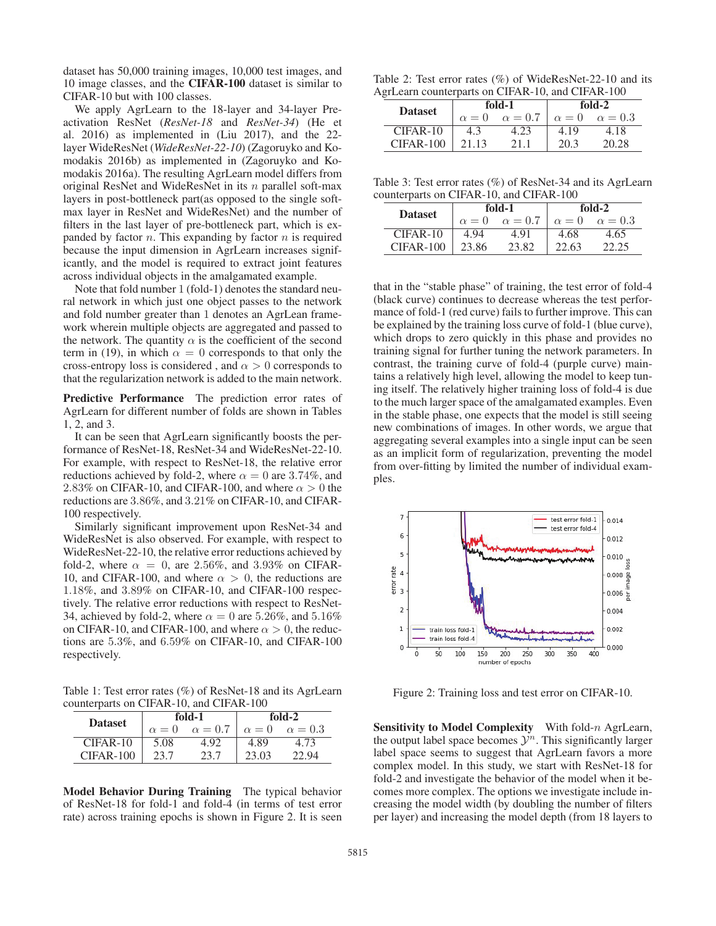dataset has 50,000 training images, 10,000 test images, and 10 image classes, and the CIFAR-100 dataset is similar to CIFAR-10 but with 100 classes.

We apply AgrLearn to the 18-layer and 34-layer Preactivation ResNet (*ResNet-18* and *ResNet-34*) (He et al. 2016) as implemented in (Liu 2017), and the 22 layer WideResNet (*WideResNet-22-10*) (Zagoruyko and Komodakis 2016b) as implemented in (Zagoruyko and Komodakis 2016a). The resulting AgrLearn model differs from original ResNet and WideResNet in its  $n$  parallel soft-max layers in post-bottleneck part(as opposed to the single softmax layer in ResNet and WideResNet) and the number of filters in the last layer of pre-bottleneck part, which is expanded by factor  $n$ . This expanding by factor  $n$  is required because the input dimension in AgrLearn increases significantly, and the model is required to extract joint features across individual objects in the amalgamated example.

Note that fold number 1 (fold-1) denotes the standard neural network in which just one object passes to the network and fold number greater than 1 denotes an AgrLean framework wherein multiple objects are aggregated and passed to the network. The quantity  $\alpha$  is the coefficient of the second term in (19), in which  $\alpha = 0$  corresponds to that only the cross-entropy loss is considered, and  $\alpha > 0$  corresponds to that the regularization network is added to the main network.

Predictive Performance The prediction error rates of AgrLearn for different number of folds are shown in Tables 1, 2, and 3.

It can be seen that AgrLearn significantly boosts the performance of ResNet-18, ResNet-34 and WideResNet-22-10. For example, with respect to ResNet-18, the relative error reductions achieved by fold-2, where  $\alpha = 0$  are 3.74%, and 2.83% on CIFAR-10, and CIFAR-100, and where  $\alpha > 0$  the reductions are 3.86%, and 3.21% on CIFAR-10, and CIFAR-100 respectively.

Similarly significant improvement upon ResNet-34 and WideResNet is also observed. For example, with respect to WideResNet-22-10, the relative error reductions achieved by fold-2, where  $\alpha = 0$ , are 2.56%, and 3.93% on CIFAR-10, and CIFAR-100, and where  $\alpha > 0$ , the reductions are 1.18%, and 3.89% on CIFAR-10, and CIFAR-100 respectively. The relative error reductions with respect to ResNet-34, achieved by fold-2, where  $\alpha = 0$  are 5.26%, and 5.16% on CIFAR-10, and CIFAR-100, and where  $\alpha > 0$ , the reductions are 5.3%, and 6.59% on CIFAR-10, and CIFAR-100 respectively.

Table 1: Test error rates (%) of ResNet-18 and its AgrLearn counterparts on CIFAR-10, and CIFAR-100

| <b>Dataset</b> |              | fold-1         | fold-2       |                |  |
|----------------|--------------|----------------|--------------|----------------|--|
|                | $\alpha = 0$ | $\alpha = 0.7$ | $\alpha = 0$ | $\alpha = 0.3$ |  |
| CIFAR-10       | 5.08         | 492            | 4.89         | 4.73           |  |
| $CIFAR-100$    | 23.7         | 23.7           | 23.03        | 22.94          |  |

Model Behavior During Training The typical behavior of ResNet-18 for fold-1 and fold-4 (in terms of test error rate) across training epochs is shown in Figure 2. It is seen

|  |  |  | Table 2: Test error rates (%) of WideResNet-22-10 and its |  |  |
|--|--|--|-----------------------------------------------------------|--|--|
|  |  |  | AgrLearn counterparts on CIFAR-10, and CIFAR-100          |  |  |

| <b>Dataset</b> |              | fold-1         | fold-2       |                |  |  |  |  |
|----------------|--------------|----------------|--------------|----------------|--|--|--|--|
|                | $\alpha = 0$ | $\alpha = 0.7$ | $\alpha = 0$ | $\alpha = 0.3$ |  |  |  |  |
| CIFAR-10       |              | 4.23           | 4.19         | 4.18           |  |  |  |  |
| $CIFAR-100$    | 21.13        | 21 1           | 20.3         | 20.28          |  |  |  |  |

Table 3: Test error rates (%) of ResNet-34 and its AgrLearn counterparts on CIFAR-10, and CIFAR-100

| <b>Dataset</b> |              | fold-1         | $fold-2$     |                |  |
|----------------|--------------|----------------|--------------|----------------|--|
|                | $\alpha = 0$ | $\alpha = 0.7$ | $\alpha = 0$ | $\alpha = 0.3$ |  |
| $CIFAR-10$     | 4.94         | 4.91           | 4.68         | 4.65           |  |
| $CIFAR-100$    | 23.86        | 23.82          | 22.63        | 22.25          |  |

that in the "stable phase" of training, the test error of fold-4 (black curve) continues to decrease whereas the test performance of fold-1 (red curve) fails to further improve. This can be explained by the training loss curve of fold-1 (blue curve), which drops to zero quickly in this phase and provides no training signal for further tuning the network parameters. In contrast, the training curve of fold-4 (purple curve) maintains a relatively high level, allowing the model to keep tuning itself. The relatively higher training loss of fold-4 is due to the much larger space of the amalgamated examples. Even in the stable phase, one expects that the model is still seeing new combinations of images. In other words, we argue that aggregating several examples into a single input can be seen as an implicit form of regularization, preventing the model from over-fitting by limited the number of individual examples.



Figure 2: Training loss and test error on CIFAR-10.

Sensitivity to Model Complexity With fold-n AgrLearn, the output label space becomes  $\mathcal{Y}^n$ . This significantly larger label space seems to suggest that AgrLearn favors a more complex model. In this study, we start with ResNet-18 for fold-2 and investigate the behavior of the model when it becomes more complex. The options we investigate include increasing the model width (by doubling the number of filters per layer) and increasing the model depth (from 18 layers to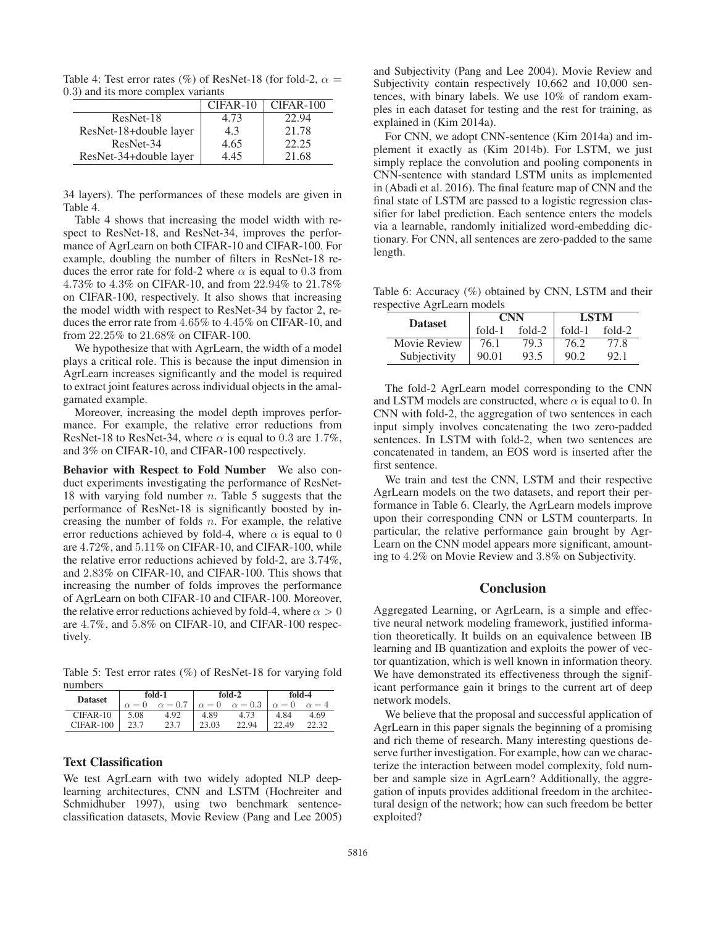Table 4: Test error rates (%) of ResNet-18 (for fold-2,  $\alpha =$ 0.3) and its more complex variants

|                        | $CIFAR-10$ | CIFAR-100 |
|------------------------|------------|-----------|
| ResNet-18              | 4.73       | 22.94     |
| ResNet-18+double layer | 4.3        | 21.78     |
| ResNet-34              | 4.65       | 22.25     |
| ResNet-34+double layer | 4.45       | 21.68     |

34 layers). The performances of these models are given in Table 4.

Table 4 shows that increasing the model width with respect to ResNet-18, and ResNet-34, improves the performance of AgrLearn on both CIFAR-10 and CIFAR-100. For example, doubling the number of filters in ResNet-18 reduces the error rate for fold-2 where  $\alpha$  is equal to 0.3 from 4.73% to 4.3% on CIFAR-10, and from 22.94% to 21.78% on CIFAR-100, respectively. It also shows that increasing the model width with respect to ResNet-34 by factor 2, reduces the error rate from 4.65% to 4.45% on CIFAR-10, and from 22.25% to 21.68% on CIFAR-100.

We hypothesize that with AgrLearn, the width of a model plays a critical role. This is because the input dimension in AgrLearn increases significantly and the model is required to extract joint features across individual objects in the amalgamated example.

Moreover, increasing the model depth improves performance. For example, the relative error reductions from ResNet-18 to ResNet-34, where  $\alpha$  is equal to 0.3 are 1.7%, and 3% on CIFAR-10, and CIFAR-100 respectively.

Behavior with Respect to Fold Number We also conduct experiments investigating the performance of ResNet-18 with varying fold number  $n$ . Table 5 suggests that the performance of ResNet-18 is significantly boosted by increasing the number of folds  $n$ . For example, the relative error reductions achieved by fold-4, where  $\alpha$  is equal to 0 are 4.72%, and 5.11% on CIFAR-10, and CIFAR-100, while the relative error reductions achieved by fold-2, are 3.74%, and 2.83% on CIFAR-10, and CIFAR-100. This shows that increasing the number of folds improves the performance of AgrLearn on both CIFAR-10 and CIFAR-100. Moreover, the relative error reductions achieved by fold-4, where  $\alpha > 0$ are 4.7%, and 5.8% on CIFAR-10, and CIFAR-100 respectively.

Table 5: Test error rates (%) of ResNet-18 for varying fold numbers

| <b>Dataset</b> | fold-1       |                | fold-2       |                | fold-4       |              |
|----------------|--------------|----------------|--------------|----------------|--------------|--------------|
|                | $\alpha = 0$ | $\alpha = 0.7$ | $\alpha = 0$ | $\alpha = 0.3$ | $\alpha = 0$ | $\alpha = 4$ |
| $CIFAR-10$     | 5.08         | 4.92           | 4.89         | 4.73           | 4.84         | 4.69         |
| $CIFAR-100$    | 23.7         | 23.7           | 23.03        | 22.94          | 22.49        | 22.32        |

#### Text Classification

We test AgrLearn with two widely adopted NLP deeplearning architectures, CNN and LSTM (Hochreiter and Schmidhuber 1997), using two benchmark sentenceclassification datasets, Movie Review (Pang and Lee 2005)

and Subjectivity (Pang and Lee 2004). Movie Review and Subjectivity contain respectively 10,662 and 10,000 sentences, with binary labels. We use 10% of random examples in each dataset for testing and the rest for training, as explained in (Kim 2014a).

For CNN, we adopt CNN-sentence (Kim 2014a) and implement it exactly as (Kim 2014b). For LSTM, we just simply replace the convolution and pooling components in CNN-sentence with standard LSTM units as implemented in (Abadi et al. 2016). The final feature map of CNN and the final state of LSTM are passed to a logistic regression classifier for label prediction. Each sentence enters the models via a learnable, randomly initialized word-embedding dictionary. For CNN, all sentences are zero-padded to the same length.

Table 6: Accuracy (%) obtained by CNN, LSTM and their respective AgrLearn models

| <b>Dataset</b> |          | <b>CNN</b> | <b>LSTM</b> |        |  |
|----------------|----------|------------|-------------|--------|--|
|                | $fold-1$ | $fold-2$   | fold-1      | fold-2 |  |
| Movie Review   | 76.1     | 79.3       | 76.2        | 77.8   |  |
| Subjectivity   | 90.01    | 93.5       | 90.2        | 92.1   |  |

The fold-2 AgrLearn model corresponding to the CNN and LSTM models are constructed, where  $\alpha$  is equal to 0. In CNN with fold-2, the aggregation of two sentences in each input simply involves concatenating the two zero-padded sentences. In LSTM with fold-2, when two sentences are concatenated in tandem, an EOS word is inserted after the first sentence.

We train and test the CNN, LSTM and their respective AgrLearn models on the two datasets, and report their performance in Table 6. Clearly, the AgrLearn models improve upon their corresponding CNN or LSTM counterparts. In particular, the relative performance gain brought by Agr-Learn on the CNN model appears more significant, amounting to 4.2% on Movie Review and 3.8% on Subjectivity.

## **Conclusion**

Aggregated Learning, or AgrLearn, is a simple and effective neural network modeling framework, justified information theoretically. It builds on an equivalence between IB learning and IB quantization and exploits the power of vector quantization, which is well known in information theory. We have demonstrated its effectiveness through the significant performance gain it brings to the current art of deep network models.

We believe that the proposal and successful application of AgrLearn in this paper signals the beginning of a promising and rich theme of research. Many interesting questions deserve further investigation. For example, how can we characterize the interaction between model complexity, fold number and sample size in AgrLearn? Additionally, the aggregation of inputs provides additional freedom in the architectural design of the network; how can such freedom be better exploited?